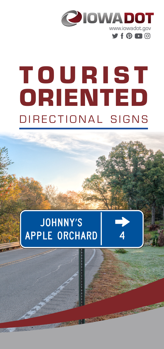

# T O U R I S T ORIENTED DIRECTIONAL SIGNS

# **JOHNNY'S APPLE ORCHARD**

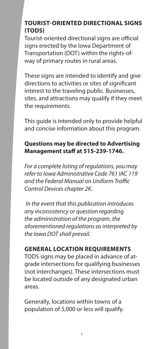### **TOURIST-ORIENTED DIRECTIONAL SIGNS (TODS)**

Tourist-oriented directional signs are official signs erected by the Iowa Department of Transportation (DOT) within the rights-ofway of primary routes in rural areas.

These signs are intended to identify and give directions to activities or sites of significant interest to the traveling public. Businesses, sites, and attractions may qualify if they meet the requirements.

This guide is intended only to provide helpful and concise information about this program.

#### **Questions may be directed to Advertising Management staff at 515-239-1746.**

*For a complete listing of regulations, you may refer to Iowa Administrative Code 761 IAC 119 and the Federal Manual on Uniform Traffic Control Devices chapter 2K.*

 *In the event that this publication introduces any inconsistency or question regarding the administration of the program, the aforementioned regulations as interpreted by the Iowa DOT shall prevail.*

#### **GENERAL LOCATION REQUIREMENTS**

TODS signs may be placed in advance of atgrade intersections for qualifying businesses (not interchanges). These intersections must be located outside of any designated urban areas.

Generally, locations within towns of a population of 5,000 or less will qualify.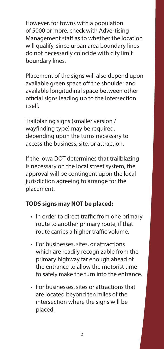However, for towns with a population of 5000 or more, check with Advertising Management staff as to whether the location will qualify, since urban area boundary lines do not necessarily coincide with city limit boundary lines.

Placement of the signs will also depend upon available green space off the shoulder and available longitudinal space between other official signs leading up to the intersection itself.

Trailblazing signs (smaller version / wayfinding type) may be required, depending upon the turns necessary to access the business, site, or attraction.

If the Iowa DOT determines that trailblazing is necessary on the local street system, the approval will be contingent upon the local jurisdiction agreeing to arrange for the placement.

#### **TODS signs may NOT be placed:**

- In order to direct traffic from one primary route to another primary route, if that route carries a higher traffic volume.
- For businesses, sites, or attractions which are readily recognizable from the primary highway far enough ahead of the entrance to allow the motorist time to safely make the turn into the entrance.
- For businesses, sites or attractions that are located beyond ten miles of the intersection where the signs will be placed.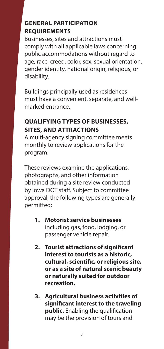## **GENERAL PARTICIPATION REQUIREMENTS**

Businesses, sites and attractions must comply with all applicable laws concerning public accommodations without regard to age, race, creed, color, sex, sexual orientation, gender identity, national origin, religious, or disability.

Buildings principally used as residences must have a convenient, separate, and wellmarked entrance.

# **QUALIFYING TYPES OF BUSINESSES, SITES, AND ATTRACTIONS**

A multi-agency signing committee meets monthly to review applications for the program.

These reviews examine the applications, photographs, and other information obtained during a site review conducted by Iowa DOT staff. Subject to committee approval, the following types are generally permitted:

- **1. Motorist service businesses** including gas, food, lodging, or passenger vehicle repair.
- **2. Tourist attractions of significant interest to tourists as a historic, cultural, scientific, or religious site, or as a site of natural scenic beauty or naturally suited for outdoor recreation.**
- **3. Agricultural business activities of significant interest to the traveling public.** Enabling the qualification may be the provision of tours and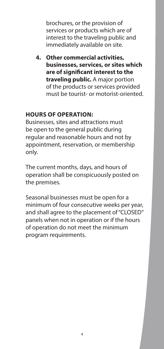brochures, or the provision of services or products which are of interest to the traveling public and immediately available on site.

**4. Other commercial activities, businesses, services, or sites which are of significant interest to the traveling public.** A major portion of the products or services provided must be tourist- or motorist-oriented.

#### **HOURS OF OPERATION:**

Businesses, sites and attractions must be open to the general public during regular and reasonable hours and not by appointment, reservation, or membership only.

The current months, days, and hours of operation shall be conspicuously posted on the premises.

Seasonal businesses must be open for a minimum of four consecutive weeks per year, and shall agree to the placement of "CLOSED" panels when not in operation or if the hours of operation do not meet the minimum program requirements.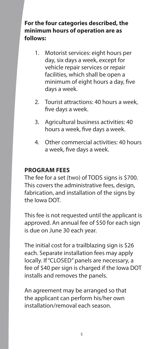**For the four categories described, the minimum hours of operation are as follows:**

- 1. Motorist services: eight hours per day, six days a week, except for vehicle repair services or repair facilities, which shall be open a minimum of eight hours a day, five days a week.
- 2. Tourist attractions: 40 hours a week, five days a week.
- 3. Agricultural business activities: 40 hours a week, five days a week.
- 4. Other commercial activities: 40 hours a week, five days a week.

#### **PROGRAM FEES**

The fee for a set (two) of TODS signs is \$700. This covers the administrative fees, design, fabrication, and installation of the signs by the Iowa DOT.

This fee is not requested until the applicant is approved. An annual fee of \$50 for each sign is due on June 30 each year.

The initial cost for a trailblazing sign is \$26 each. Separate installation fees may apply locally. If "CLOSED" panels are necessary, a fee of \$40 per sign is charged if the Iowa DOT installs and removes the panels.

An agreement may be arranged so that the applicant can perform his/her own installation/removal each season.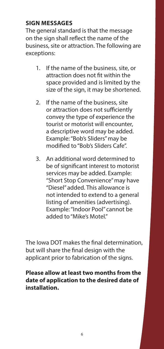#### **SIGN MESSAGES**

The general standard is that the message on the sign shall reflect the name of the business, site or attraction. The following are exceptions:

- 1. If the name of the business, site, or attraction does not fit within the space provided and is limited by the size of the sign, it may be shortened.
- 2. If the name of the business, site or attraction does not sufficiently convey the type of experience the tourist or motorist will encounter, a descriptive word may be added. Example: "Bob's Sliders" may be modified to "Bob's Sliders Cafe".
- 3. An additional word determined to be of significant interest to motorist services may be added. Example: "Short Stop Convenience" may have "Diesel" added. This allowance is not intended to extend to a general listing of amenities (advertising). Example: "Indoor Pool" cannot be added to "Mike's Motel."

The Iowa DOT makes the final determination, but will share the final design with the applicant prior to fabrication of the signs.

#### **Please allow at least two months from the date of application to the desired date of installation.**